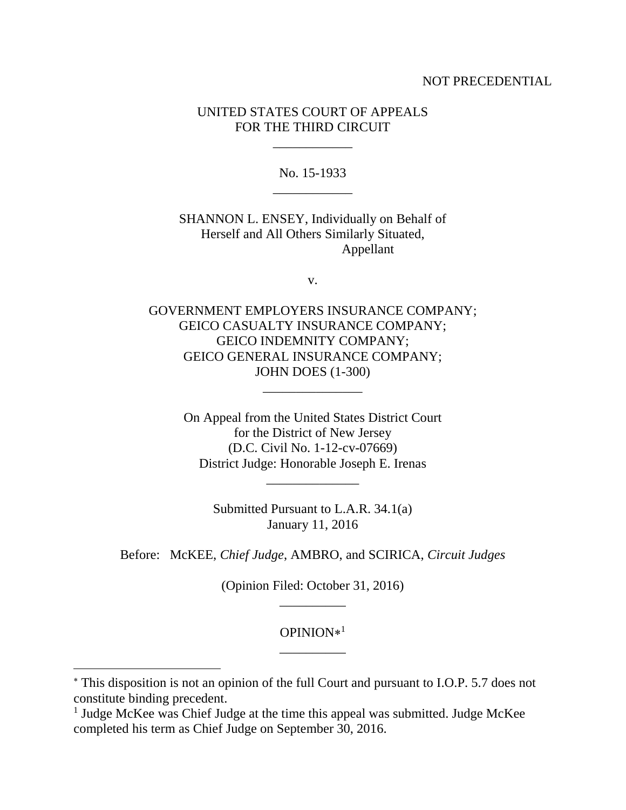#### NOT PRECEDENTIAL

## UNITED STATES COURT OF APPEALS FOR THE THIRD CIRCUIT

\_\_\_\_\_\_\_\_\_\_\_\_

No. 15-1933 \_\_\_\_\_\_\_\_\_\_\_\_

SHANNON L. ENSEY, Individually on Behalf of Herself and All Others Similarly Situated, Appellant

v.

GOVERNMENT EMPLOYERS INSURANCE COMPANY; GEICO CASUALTY INSURANCE COMPANY; GEICO INDEMNITY COMPANY; GEICO GENERAL INSURANCE COMPANY; JOHN DOES (1-300)

\_\_\_\_\_\_\_\_\_\_\_\_\_\_\_

On Appeal from the United States District Court for the District of New Jersey (D.C. Civil No. 1-12-cv-07669) District Judge: Honorable Joseph E. Irenas

> Submitted Pursuant to L.A.R. 34.1(a) January 11, 2016

\_\_\_\_\_\_\_\_\_\_\_\_\_\_

Before: McKEE, *Chief Judge*, AMBRO, and SCIRICA, *Circuit Judges*

(Opinion Filed: October 31, 2016) \_\_\_\_\_\_\_\_\_\_

> OPINION 1 \_\_\_\_\_\_\_\_\_\_

This disposition is not an opinion of the full Court and pursuant to I.O.P. 5.7 does not constitute binding precedent.

<sup>&</sup>lt;sup>1</sup> Judge McKee was Chief Judge at the time this appeal was submitted. Judge McKee completed his term as Chief Judge on September 30, 2016.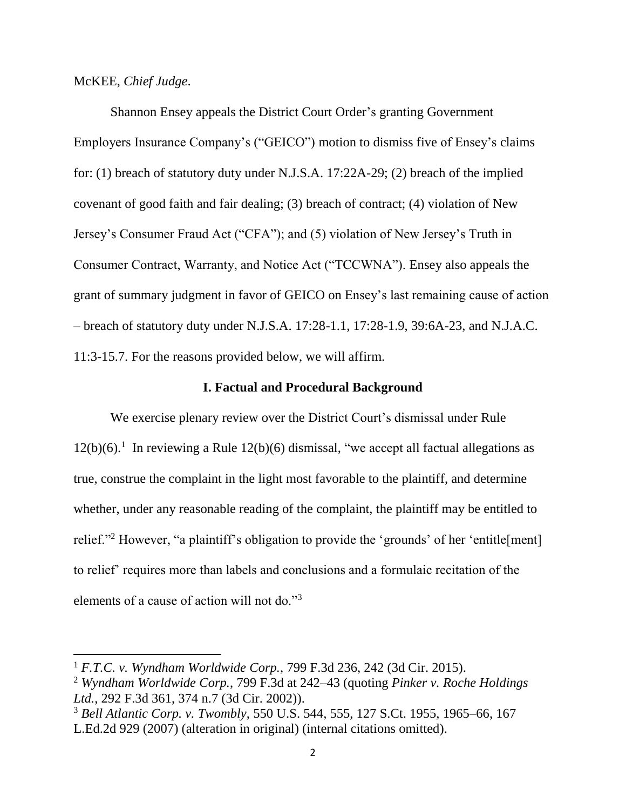McKEE, *Chief Judge*.

l

Shannon Ensey appeals the District Court Order's granting Government Employers Insurance Company's ("GEICO") motion to dismiss five of Ensey's claims for: (1) breach of statutory duty under N.J.S.A. 17:22A-29; (2) breach of the implied covenant of good faith and fair dealing; (3) breach of contract; (4) violation of New Jersey's Consumer Fraud Act ("CFA"); and (5) violation of New Jersey's Truth in Consumer Contract, Warranty, and Notice Act ("TCCWNA"). Ensey also appeals the grant of summary judgment in favor of GEICO on Ensey's last remaining cause of action – breach of statutory duty under N.J.S.A. 17:28-1.1, 17:28-1.9, 39:6A-23, and N.J.A.C. 11:3-15.7. For the reasons provided below, we will affirm.

### **I. Factual and Procedural Background**

We exercise plenary review over the District Court's dismissal under Rule  $12(b)(6)$ .<sup>1</sup> In reviewing a Rule  $12(b)(6)$  dismissal, "we accept all factual allegations as true, construe the complaint in the light most favorable to the plaintiff, and determine whether, under any reasonable reading of the complaint, the plaintiff may be entitled to relief."<sup>2</sup> However, "a plaintiff's obligation to provide the 'grounds' of her 'entitle[ment] to relief' requires more than labels and conclusions and a formulaic recitation of the elements of a cause of action will not do."<sup>3</sup>

<sup>1</sup> *F.T.C. v. Wyndham Worldwide Corp.*, 799 F.3d 236, 242 (3d Cir. 2015).

<sup>2</sup> *Wyndham Worldwide Corp.*, 799 F.3d at 242–43 (quoting *Pinker v. Roche Holdings Ltd.*, 292 F.3d 361, 374 n.7 (3d Cir. 2002)).

<sup>3</sup> *Bell Atlantic Corp. v. Twombly*, 550 U.S. 544, 555, 127 S.Ct. 1955, 1965–66, 167 L.Ed.2d 929 (2007) (alteration in original) (internal citations omitted).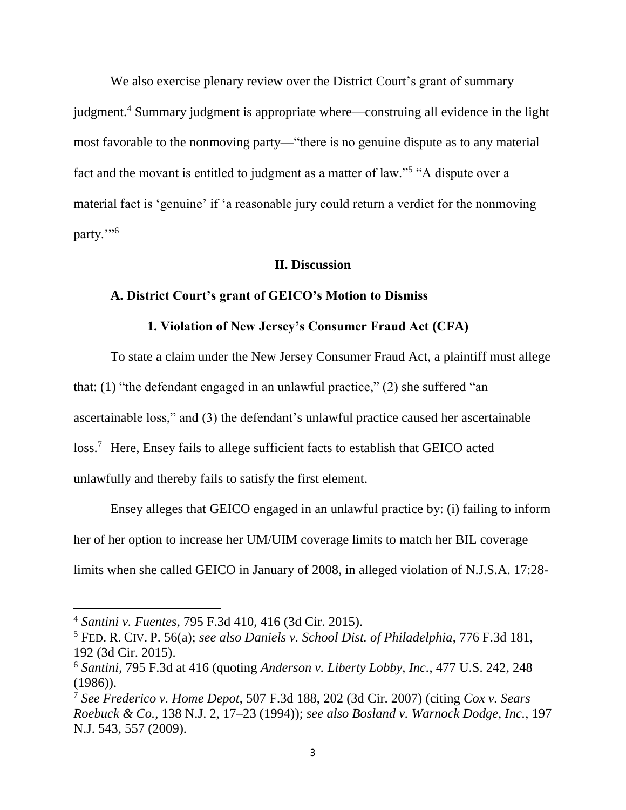We also exercise plenary review over the District Court's grant of summary judgment.<sup>4</sup> Summary judgment is appropriate where—construing all evidence in the light most favorable to the nonmoving party—"there is no genuine dispute as to any material fact and the movant is entitled to judgment as a matter of law."<sup>5</sup> "A dispute over a material fact is 'genuine' if 'a reasonable jury could return a verdict for the nonmoving party."<sup>6</sup>

# **II. Discussion**

### **A. District Court's grant of GEICO's Motion to Dismiss**

### **1. Violation of New Jersey's Consumer Fraud Act (CFA)**

To state a claim under the New Jersey Consumer Fraud Act, a plaintiff must allege that: (1) "the defendant engaged in an unlawful practice," (2) she suffered "an ascertainable loss," and (3) the defendant's unlawful practice caused her ascertainable loss.<sup>7</sup> Here, Ensey fails to allege sufficient facts to establish that GEICO acted unlawfully and thereby fails to satisfy the first element.

Ensey alleges that GEICO engaged in an unlawful practice by: (i) failing to inform her of her option to increase her UM/UIM coverage limits to match her BIL coverage limits when she called GEICO in January of 2008, in alleged violation of N.J.S.A. 17:28-

<sup>4</sup> *Santini v. Fuentes*, 795 F.3d 410, 416 (3d Cir. 2015).

<sup>5</sup> FED. R. CIV. P. 56(a); *see also Daniels v. School Dist. of Philadelphia*, 776 F.3d 181, 192 (3d Cir. 2015).

<sup>6</sup> *Santini*, 795 F.3d at 416 (quoting *Anderson v. Liberty Lobby, Inc.*, 477 U.S. 242, 248 (1986)).

<sup>7</sup> *See Frederico v. Home Depot*, 507 F.3d 188, 202 (3d Cir. 2007) (citing *Cox v. Sears Roebuck & Co.*, 138 N.J. 2, 17–23 (1994)); *see also Bosland v. Warnock Dodge, Inc.*, 197 N.J. 543, 557 (2009).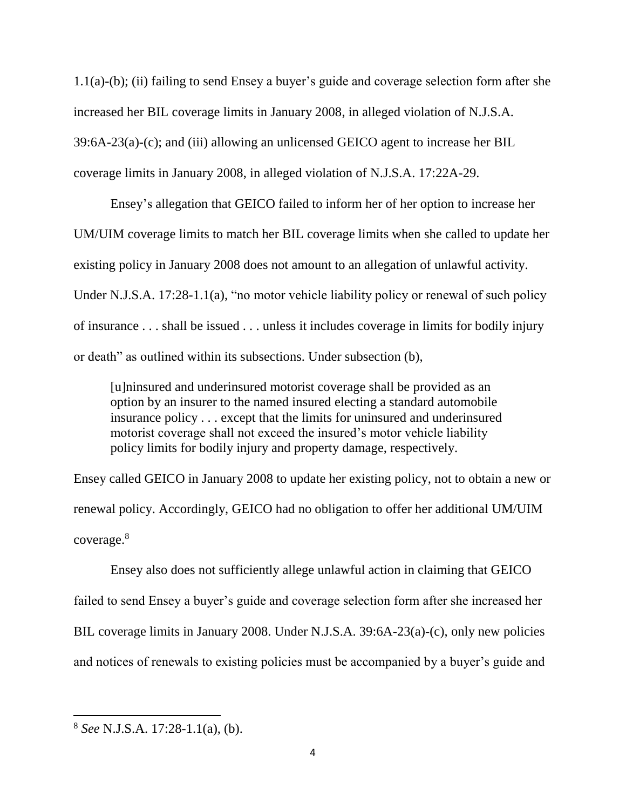1.1(a)-(b); (ii) failing to send Ensey a buyer's guide and coverage selection form after she increased her BIL coverage limits in January 2008, in alleged violation of N.J.S.A. 39:6A-23(a)-(c); and (iii) allowing an unlicensed GEICO agent to increase her BIL coverage limits in January 2008, in alleged violation of N.J.S.A. 17:22A-29.

Ensey's allegation that GEICO failed to inform her of her option to increase her UM/UIM coverage limits to match her BIL coverage limits when she called to update her existing policy in January 2008 does not amount to an allegation of unlawful activity. Under N.J.S.A. 17:28-1.1(a), "no motor vehicle liability policy or renewal of such policy of insurance . . . shall be issued . . . unless it includes coverage in limits for bodily injury or death" as outlined within its subsections. Under subsection (b),

[u]ninsured and underinsured motorist coverage shall be provided as an option by an insurer to the named insured electing a standard automobile insurance policy . . . except that the limits for uninsured and underinsured motorist coverage shall not exceed the insured's motor vehicle liability policy limits for bodily injury and property damage, respectively.

Ensey called GEICO in January 2008 to update her existing policy, not to obtain a new or renewal policy. Accordingly, GEICO had no obligation to offer her additional UM/UIM coverage. 8

Ensey also does not sufficiently allege unlawful action in claiming that GEICO failed to send Ensey a buyer's guide and coverage selection form after she increased her BIL coverage limits in January 2008. Under N.J.S.A. 39:6A-23(a)-(c), only new policies and notices of renewals to existing policies must be accompanied by a buyer's guide and

<sup>8</sup> *See* N.J.S.A. 17:28-1.1(a), (b).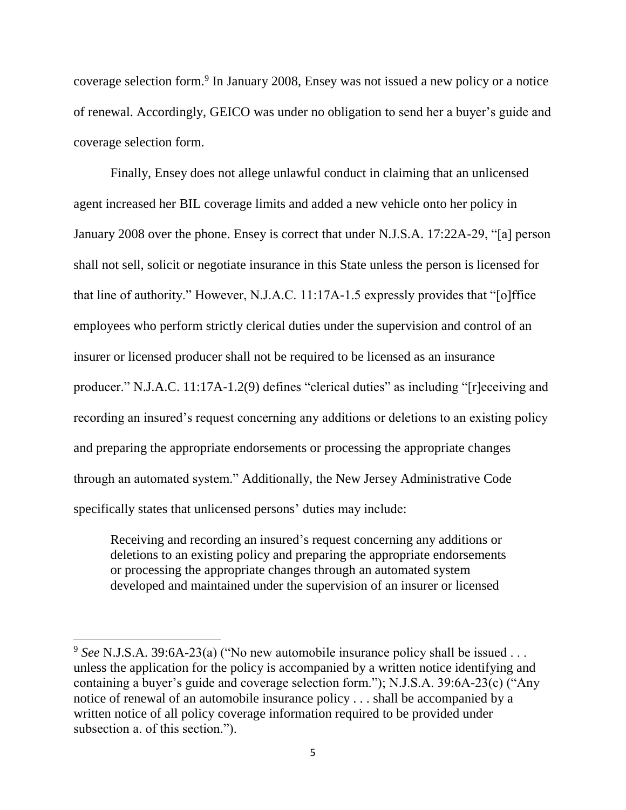coverage selection form.<sup>9</sup> In January 2008, Ensey was not issued a new policy or a notice of renewal. Accordingly, GEICO was under no obligation to send her a buyer's guide and coverage selection form.

Finally, Ensey does not allege unlawful conduct in claiming that an unlicensed agent increased her BIL coverage limits and added a new vehicle onto her policy in January 2008 over the phone. Ensey is correct that under N.J.S.A. 17:22A-29, "[a] person shall not sell, solicit or negotiate insurance in this State unless the person is licensed for that line of authority." However, N.J.A.C. 11:17A-1.5 expressly provides that "[o]ffice employees who perform strictly clerical duties under the supervision and control of an insurer or licensed producer shall not be required to be licensed as an insurance producer." N.J.A.C. 11:17A-1.2(9) defines "clerical duties" as including "[r]eceiving and recording an insured's request concerning any additions or deletions to an existing policy and preparing the appropriate endorsements or processing the appropriate changes through an automated system." Additionally, the New Jersey Administrative Code specifically states that unlicensed persons' duties may include:

Receiving and recording an insured's request concerning any additions or deletions to an existing policy and preparing the appropriate endorsements or processing the appropriate changes through an automated system developed and maintained under the supervision of an insurer or licensed

<sup>9</sup> *See* N.J.S.A. 39:6A-23(a) ("No new automobile insurance policy shall be issued . . . unless the application for the policy is accompanied by a written notice identifying and containing a buyer's guide and coverage selection form."); N.J.S.A. 39:6A-23(c) ("Any notice of renewal of an automobile insurance policy . . . shall be accompanied by a written notice of all policy coverage information required to be provided under subsection a. of this section.").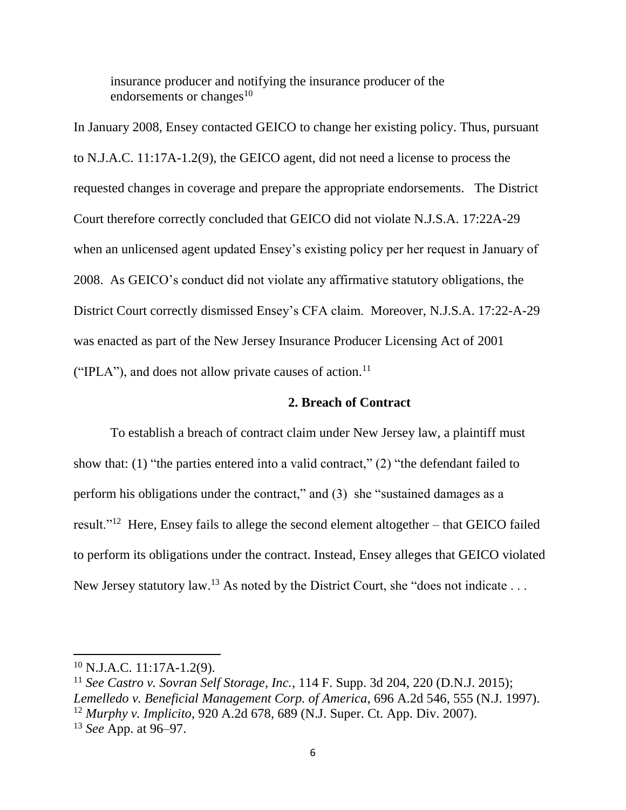insurance producer and notifying the insurance producer of the endorsements or changes $10$ 

In January 2008, Ensey contacted GEICO to change her existing policy. Thus, pursuant to N.J.A.C. 11:17A-1.2(9), the GEICO agent, did not need a license to process the requested changes in coverage and prepare the appropriate endorsements. The District Court therefore correctly concluded that GEICO did not violate N.J.S.A. 17:22A-29 when an unlicensed agent updated Ensey's existing policy per her request in January of 2008. As GEICO's conduct did not violate any affirmative statutory obligations, the District Court correctly dismissed Ensey's CFA claim. Moreover, N.J.S.A. 17:22-A-29 was enacted as part of the New Jersey Insurance Producer Licensing Act of 2001 ("IPLA"), and does not allow private causes of action.<sup>11</sup>

# **2. Breach of Contract**

To establish a breach of contract claim under New Jersey law, a plaintiff must show that: (1) "the parties entered into a valid contract," (2) "the defendant failed to perform his obligations under the contract," and (3) she "sustained damages as a result."<sup>12</sup> Here, Ensey fails to allege the second element altogether – that GEICO failed to perform its obligations under the contract. Instead, Ensey alleges that GEICO violated New Jersey statutory law.<sup>13</sup> As noted by the District Court, she "does not indicate ...

 $10$  N.J.A.C. 11:17A-1.2(9).

<sup>11</sup> *See Castro v. Sovran Self Storage, Inc.*, 114 F. Supp. 3d 204, 220 (D.N.J. 2015); *Lemelledo v. Beneficial Management Corp. of America*, 696 A.2d 546, 555 (N.J. 1997). <sup>12</sup> *Murphy v. Implicito*, 920 A.2d 678, 689 (N.J. Super. Ct. App. Div. 2007). <sup>13</sup> *See* App. at 96–97.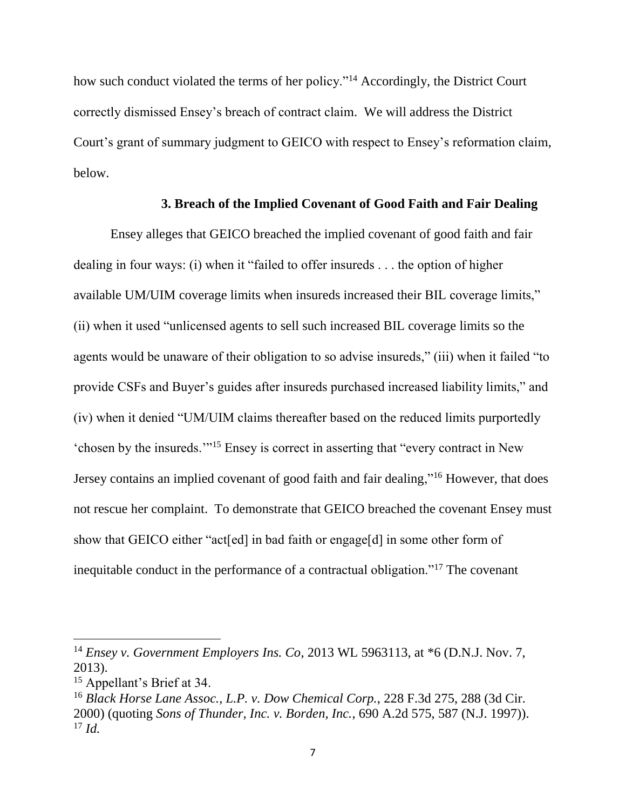how such conduct violated the terms of her policy."<sup>14</sup> Accordingly, the District Court correctly dismissed Ensey's breach of contract claim. We will address the District Court's grant of summary judgment to GEICO with respect to Ensey's reformation claim, below.

# **3. Breach of the Implied Covenant of Good Faith and Fair Dealing**

Ensey alleges that GEICO breached the implied covenant of good faith and fair dealing in four ways: (i) when it "failed to offer insureds . . . the option of higher available UM/UIM coverage limits when insureds increased their BIL coverage limits," (ii) when it used "unlicensed agents to sell such increased BIL coverage limits so the agents would be unaware of their obligation to so advise insureds," (iii) when it failed "to provide CSFs and Buyer's guides after insureds purchased increased liability limits," and (iv) when it denied "UM/UIM claims thereafter based on the reduced limits purportedly 'chosen by the insureds.'"<sup>15</sup> Ensey is correct in asserting that "every contract in New Jersey contains an implied covenant of good faith and fair dealing,"<sup>16</sup> However, that does not rescue her complaint. To demonstrate that GEICO breached the covenant Ensey must show that GEICO either "act[ed] in bad faith or engage[d] in some other form of inequitable conduct in the performance of a contractual obligation."<sup>17</sup> The covenant

<sup>14</sup> *Ensey v. Government Employers Ins. Co*, 2013 WL 5963113, at \*6 (D.N.J. Nov. 7, 2013).

<sup>15</sup> Appellant's Brief at 34.

<sup>16</sup> *Black Horse Lane Assoc., L.P. v. Dow Chemical Corp.*, 228 F.3d 275, 288 (3d Cir. 2000) (quoting *Sons of Thunder, Inc. v. Borden, Inc.*, 690 A.2d 575, 587 (N.J. 1997)). <sup>17</sup> *Id.*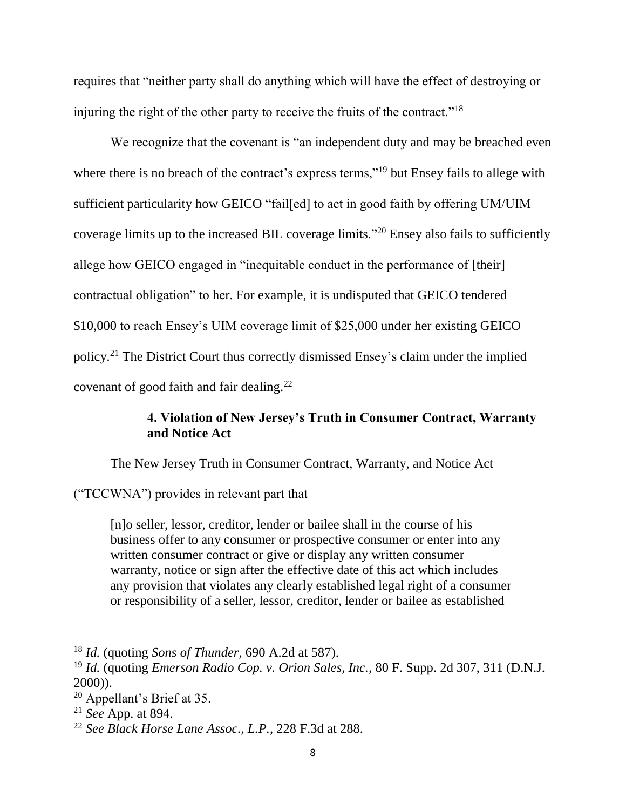requires that "neither party shall do anything which will have the effect of destroying or injuring the right of the other party to receive the fruits of the contract."<sup>18</sup>

We recognize that the covenant is "an independent duty and may be breached even where there is no breach of the contract's express terms,"<sup>19</sup> but Ensey fails to allege with sufficient particularity how GEICO "fail[ed] to act in good faith by offering UM/UIM coverage limits up to the increased BIL coverage limits."<sup>20</sup> Ensey also fails to sufficiently allege how GEICO engaged in "inequitable conduct in the performance of [their] contractual obligation" to her. For example, it is undisputed that GEICO tendered \$10,000 to reach Ensey's UIM coverage limit of \$25,000 under her existing GEICO policy.<sup>21</sup> The District Court thus correctly dismissed Ensey's claim under the implied covenant of good faith and fair dealing.<sup>22</sup>

# **4. Violation of New Jersey's Truth in Consumer Contract, Warranty and Notice Act**

The New Jersey Truth in Consumer Contract, Warranty, and Notice Act

("TCCWNA") provides in relevant part that

[n]o seller, lessor, creditor, lender or bailee shall in the course of his business offer to any consumer or prospective consumer or enter into any written consumer contract or give or display any written consumer warranty, notice or sign after the effective date of this act which includes any provision that violates any clearly established legal right of a consumer or responsibility of a seller, lessor, creditor, lender or bailee as established

<sup>18</sup> *Id.* (quoting *Sons of Thunder*, 690 A.2d at 587).

<sup>19</sup> *Id.* (quoting *Emerson Radio Cop. v. Orion Sales, Inc.*, 80 F. Supp. 2d 307, 311 (D.N.J. 2000)).

<sup>20</sup> Appellant's Brief at 35.

<sup>21</sup> *See* App. at 894.

<sup>22</sup> *See Black Horse Lane Assoc., L.P.*, 228 F.3d at 288.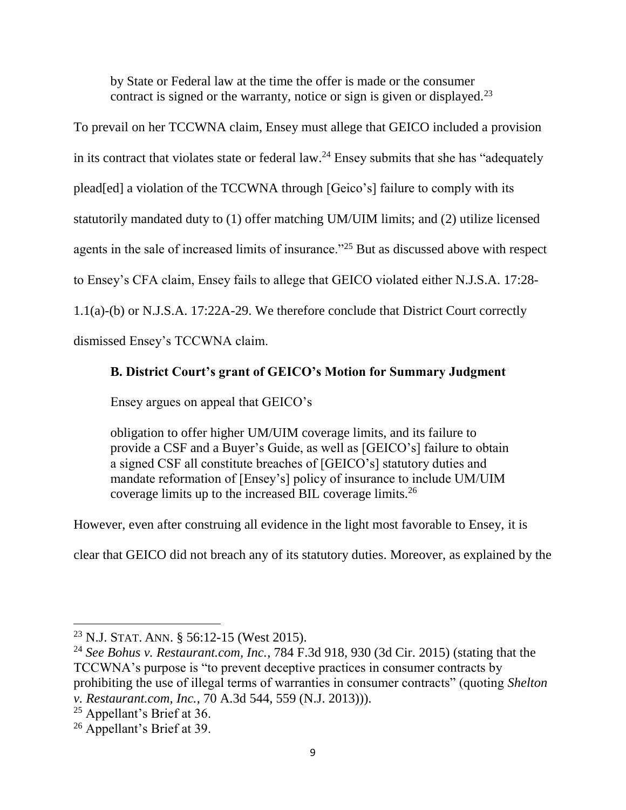by State or Federal law at the time the offer is made or the consumer contract is signed or the warranty, notice or sign is given or displayed.<sup>23</sup>

To prevail on her TCCWNA claim, Ensey must allege that GEICO included a provision in its contract that violates state or federal  $law.^{24}$  Ensey submits that she has "adequately plead[ed] a violation of the TCCWNA through [Geico's] failure to comply with its statutorily mandated duty to (1) offer matching UM/UIM limits; and (2) utilize licensed agents in the sale of increased limits of insurance."<sup>25</sup> But as discussed above with respect to Ensey's CFA claim, Ensey fails to allege that GEICO violated either N.J.S.A. 17:28- 1.1(a)-(b) or N.J.S.A. 17:22A-29. We therefore conclude that District Court correctly dismissed Ensey's TCCWNA claim.

# **B. District Court's grant of GEICO's Motion for Summary Judgment**

Ensey argues on appeal that GEICO's

obligation to offer higher UM/UIM coverage limits, and its failure to provide a CSF and a Buyer's Guide, as well as [GEICO's] failure to obtain a signed CSF all constitute breaches of [GEICO's] statutory duties and mandate reformation of [Ensey's] policy of insurance to include UM/UIM coverage limits up to the increased BIL coverage limits.<sup>26</sup>

However, even after construing all evidence in the light most favorable to Ensey, it is

clear that GEICO did not breach any of its statutory duties. Moreover, as explained by the

<sup>23</sup> N.J. STAT. ANN. § 56:12-15 (West 2015).

<sup>24</sup> *See Bohus v. Restaurant.com, Inc.*, 784 F.3d 918, 930 (3d Cir. 2015) (stating that the TCCWNA's purpose is "to prevent deceptive practices in consumer contracts by prohibiting the use of illegal terms of warranties in consumer contracts" (quoting *Shelton* 

*v. Restaurant.com, Inc.*, 70 A.3d 544, 559 (N.J. 2013))).

<sup>25</sup> Appellant's Brief at 36.

<sup>26</sup> Appellant's Brief at 39.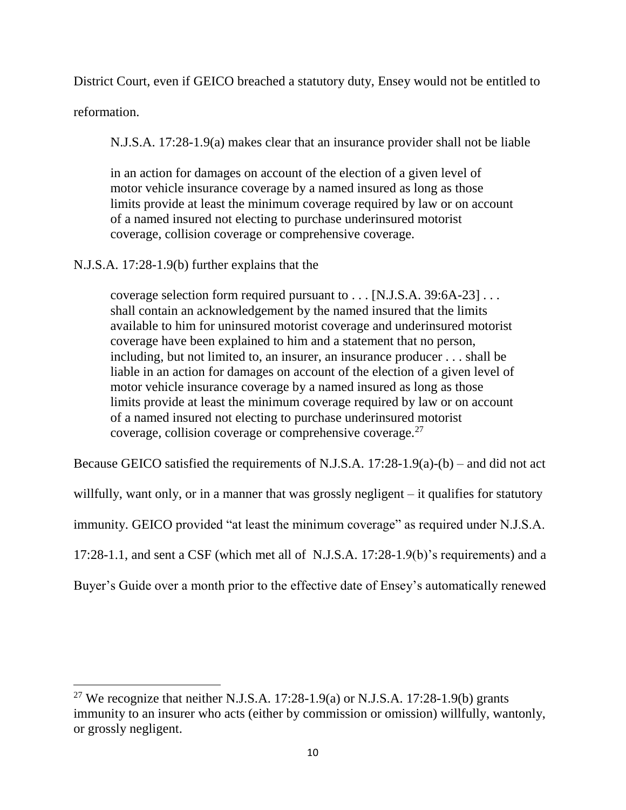District Court, even if GEICO breached a statutory duty, Ensey would not be entitled to

reformation.

 $\overline{\phantom{a}}$ 

N.J.S.A. 17:28-1.9(a) makes clear that an insurance provider shall not be liable

in an action for damages on account of the election of a given level of motor vehicle insurance coverage by a named insured as long as those limits provide at least the minimum coverage required by law or on account of a named insured not electing to purchase underinsured motorist coverage, collision coverage or comprehensive coverage.

# N.J.S.A. 17:28-1.9(b) further explains that the

coverage selection form required pursuant to . . . [N.J.S.A. 39:6A-23] . . . shall contain an acknowledgement by the named insured that the limits available to him for uninsured motorist coverage and underinsured motorist coverage have been explained to him and a statement that no person, including, but not limited to, an insurer, an insurance producer . . . shall be liable in an action for damages on account of the election of a given level of motor vehicle insurance coverage by a named insured as long as those limits provide at least the minimum coverage required by law or on account of a named insured not electing to purchase underinsured motorist coverage, collision coverage or comprehensive coverage.<sup>27</sup>

Because GEICO satisfied the requirements of N.J.S.A. 17:28-1.9(a)-(b) – and did not act

willfully, want only, or in a manner that was grossly negligent – it qualifies for statutory

immunity. GEICO provided "at least the minimum coverage" as required under N.J.S.A.

17:28-1.1, and sent a CSF (which met all of N.J.S.A. 17:28-1.9(b)'s requirements) and a

Buyer's Guide over a month prior to the effective date of Ensey's automatically renewed

<sup>&</sup>lt;sup>27</sup> We recognize that neither N.J.S.A. 17:28-1.9(a) or N.J.S.A. 17:28-1.9(b) grants immunity to an insurer who acts (either by commission or omission) willfully, wantonly, or grossly negligent.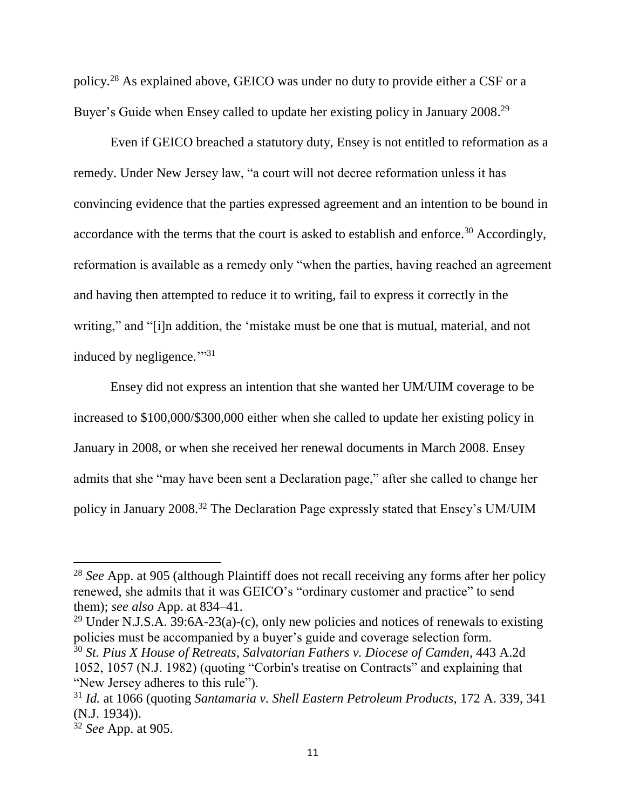policy.<sup>28</sup> As explained above, GEICO was under no duty to provide either a CSF or a Buyer's Guide when Ensey called to update her existing policy in January 2008.<sup>29</sup>

Even if GEICO breached a statutory duty, Ensey is not entitled to reformation as a remedy. Under New Jersey law, "a court will not decree reformation unless it has convincing evidence that the parties expressed agreement and an intention to be bound in accordance with the terms that the court is asked to establish and enforce.<sup>30</sup> Accordingly, reformation is available as a remedy only "when the parties, having reached an agreement and having then attempted to reduce it to writing, fail to express it correctly in the writing," and "[i]n addition, the 'mistake must be one that is mutual, material, and not induced by negligence."<sup>31</sup>

Ensey did not express an intention that she wanted her UM/UIM coverage to be increased to \$100,000/\$300,000 either when she called to update her existing policy in January in 2008, or when she received her renewal documents in March 2008. Ensey admits that she "may have been sent a Declaration page," after she called to change her policy in January 2008.<sup>32</sup> The Declaration Page expressly stated that Ensey's UM/UIM

<sup>29</sup> Under N.J.S.A.  $39:6A-23(a)-(c)$ , only new policies and notices of renewals to existing policies must be accompanied by a buyer's guide and coverage selection form. <sup>30</sup> *St. Pius X House of Retreats, Salvatorian Fathers v. Diocese of Camden*, 443 A.2d 1052, 1057 (N.J. 1982) (quoting "Corbin's treatise on Contracts" and explaining that "New Jersey adheres to this rule").

 $\overline{a}$ 

<sup>28</sup> *See* App. at 905 (although Plaintiff does not recall receiving any forms after her policy renewed, she admits that it was GEICO's "ordinary customer and practice" to send them); *see also* App. at 834–41.

<sup>31</sup> *Id.* at 1066 (quoting *Santamaria v. Shell Eastern Petroleum Products*, 172 A. 339, 341 (N.J. 1934)).

<sup>32</sup> *See* App. at 905.